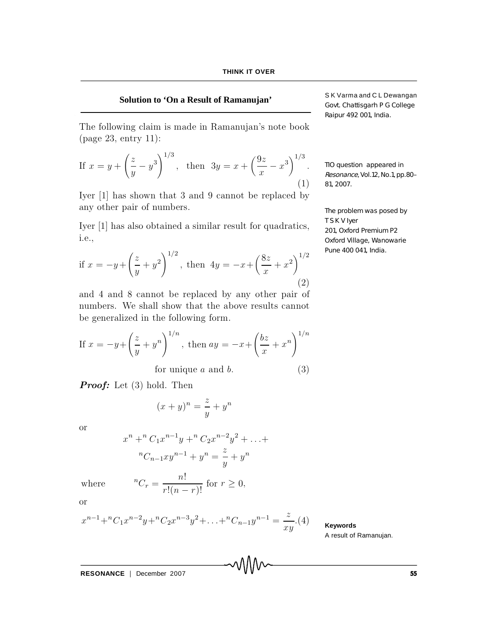## **Solution to 'On a Result of Ramanujan'**

The following claim is made in Ramanujan's note book (page 23, entry 11):

If 
$$
x = y + \left(\frac{z}{y} - y^3\right)^{1/3}
$$
, then  $3y = x + \left(\frac{9z}{x} - x^3\right)^{1/3}$ . (1)

Iyer  $[1]$  has shown that 3 and 9 cannot be replaced by any other pair of numbers.

Iyer [1] has also obtained a similar result for quadratics, i.e.,

if 
$$
x = -y + \left(\frac{z}{y} + y^2\right)^{1/2}
$$
, then  $4y = -x + \left(\frac{8z}{x} + x^2\right)^{1/2}$  (2)

and 4 and 8 cannot be replaced by any other pair of numbers. We shall show that the above results cannot be generalized in the following form.

If 
$$
x = -y + \left(\frac{z}{y} + y^n\right)^{1/n}
$$
, then  $ay = -x + \left(\frac{bz}{x} + x^n\right)^{1/n}$   
for unique *a* and *b*. (3)

*Proof:* Let  $(3)$  hold. Then

 ${}^nC_r =$ 

$$
(x+y)^n = \frac{z}{y} + y^n
$$

or

$$
x^{n} + {^{n}C_{1}}x^{n-1}y + {^{n}C_{2}}x^{n-2}y^{2} + \dots +
$$

$$
{^{n}C_{n-1}}xy^{n-1} + y^{n} = \frac{z}{y} + y^{n}
$$

 $n!$  $r!(n - r)!$ 

where

or

$$
x^{n-1} + {^nC_1}x^{n-2}y + {^nC_2}x^{n-3}y^2 + \ldots + {^nC_{n-1}}y^{n-1} = \frac{z}{xy}.
$$
 (4)

for  $r \geq 0$ ,

**Keywords** A result of Ramanujan.

S K Varma and C L Dewangan Govt. Chattisgarh P G College Raipur 492 001, India.

TIO question appeared in Resonance, Vol.12, No.1, pp.80– 81, 2007.

The problem was posed by T S K V Iyer 201, Oxford Premium P2 Oxford Village, Wanowarie Pune 400 041, India.

RESONANCE | December 2007 **S5**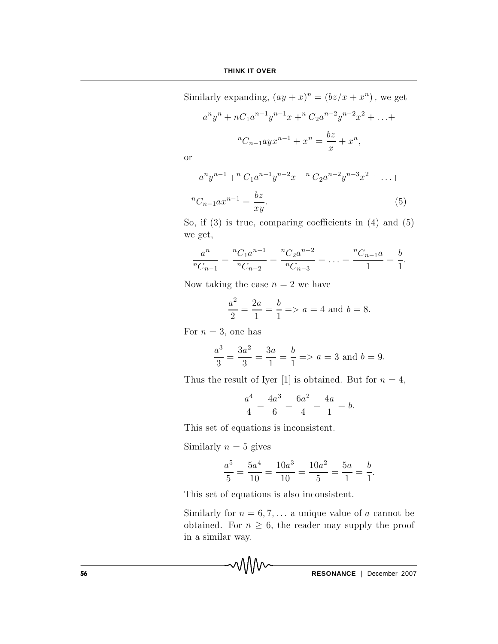Similarly expanding,  $(ay + x)^n = (bz/x + x^n)$ , we get

$$
a^{n}y^{n} + nC_{1}a^{n-1}y^{n-1}x + ^{n}C_{2}a^{n-2}y^{n-2}x^{2} + \dots +
$$

$$
{}^{n}C_{n-1}ayx^{n-1} + x^{n} = \frac{bz}{x} + x^{n},
$$

or

$$
a^{n}y^{n-1} + {^{n}C_{1}}a^{n-1}y^{n-2}x + {^{n}C_{2}}a^{n-2}y^{n-3}x^{2} + \dots +
$$

$$
{^{n}C_{n-1}}ax^{n-1} = \frac{bz}{xy}.
$$
 (5)

So, if  $(3)$  is true, comparing coefficients in  $(4)$  and  $(5)$ we get,

$$
\frac{a^n}{nC_{n-1}} = \frac{{}^nC_1a^{n-1}}{nC_{n-2}} = \frac{{}^nC_2a^{n-2}}{nC_{n-3}} = \ldots = \frac{{}^nC_{n-1}a}{1} = \frac{b}{1}.
$$

Now taking the case  $n = 2$  we have

$$
\frac{a^2}{2} = \frac{2a}{1} = \frac{b}{1} \Rightarrow a = 4 \text{ and } b = 8.
$$

For  $n = 3$ , one has

$$
\frac{a^3}{3} = \frac{3a^2}{3} = \frac{3a}{1} = \frac{b}{1} = a = 3
$$
 and  $b = 9$ .

Thus the result of Iyer [1] is obtained. But for  $n = 4$ ,

$$
\frac{a^4}{4} = \frac{4a^3}{6} = \frac{6a^2}{4} = \frac{4a}{1} = b.
$$

This set of equations is inconsistent.

Similarly  $n = 5$  gives

$$
\frac{a^5}{5} = \frac{5a^4}{10} = \frac{10a^3}{10} = \frac{10a^2}{5} = \frac{5a}{1} = \frac{b}{1}.
$$

This set of equations is also inconsistent.

Similarly for  $n = 6, 7, \ldots$  a unique value of a cannot be obtained. For  $n \geq 6$ , the reader may supply the proof in a similar way.